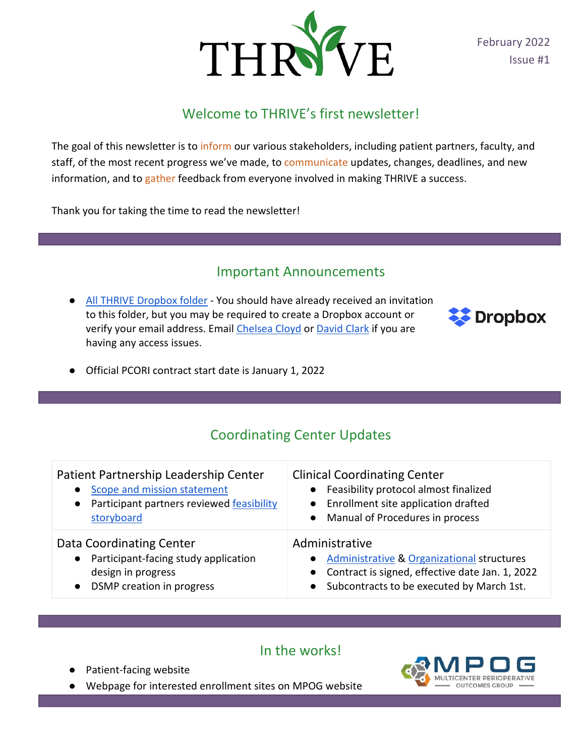

February 2022 Issue #1

## Welcome to THRIVE's first newsletter!

The goal of this newsletter is to inform our various stakeholders, including patient partners, faculty, and staff, of the most recent progress we've made, to communicate updates, changes, deadlines, and new information, and to gather feedback from everyone involved in making THRIVE a success.

Thank you for taking the time to read the newsletter!

#### Important Announcements

● [All THRIVE Dropbox folder](https://www.dropbox.com/sh/e88ykclvsdy86b9/AADUKBmPKkgmD5ru9__BK6wYa?dl=0) - You should have already received an invitation to this folder, but you may be required to create a Dropbox account or verify your email address. Emai[l Chelsea Cloyd](mailto:cmckin@med.umich.edu) or [David Clark](mailto:davidrcl@med.umich.edu) if you are having any access issues.



● Official PCORI contract start date is January 1, 2022

### Coordinating Center Updates

| Patient Partnership Leadership Center<br>Scope and mission statement<br>$\bullet$<br>Participant partners reviewed feasibility<br>$\bullet$<br>storyboard | <b>Clinical Coordinating Center</b><br>• Feasibility protocol almost finalized<br>Enrollment site application drafted<br>• Manual of Procedures in process       |
|-----------------------------------------------------------------------------------------------------------------------------------------------------------|------------------------------------------------------------------------------------------------------------------------------------------------------------------|
| Data Coordinating Center<br>Participant-facing study application<br>$\bullet$<br>design in progress<br>DSMP creation in progress<br>$\bullet$             | Administrative<br>• Administrative & Organizational structures<br>• Contract is signed, effective date Jan. 1, 2022<br>Subcontracts to be executed by March 1st. |

#### In the works!

- Patient-facing website
- Webpage for interested enrollment sites on MPOG website